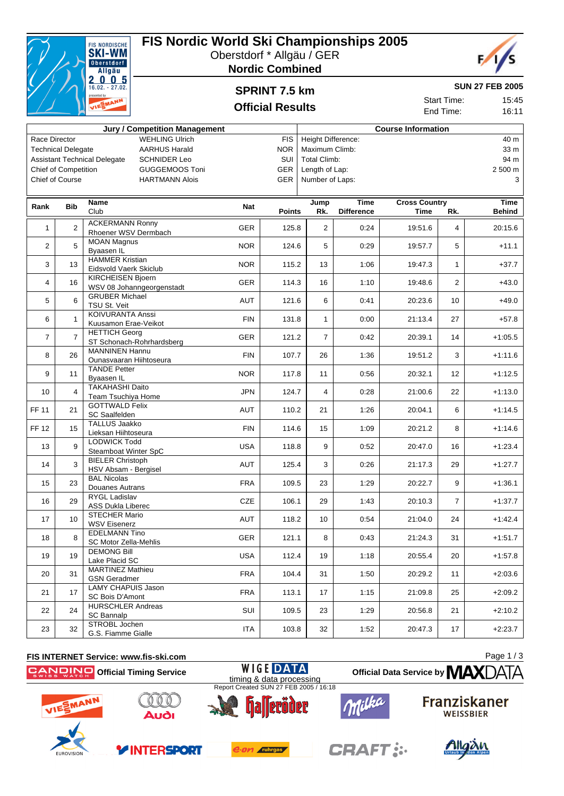

# **FIS Nordic World Ski Championships 2005**

Oberstdorf \* Allgäu / GER

**Nordic Combined**



**SUN 27 FEB 2005**

#### **SPRINT 7.5 km Official Results**

Start Time: 15:45 End Time: 16:11

| <b>Jury / Competition Management</b>                       |                             |                                                   |            |               | <b>Course Information</b> |                   |                      |                |               |  |  |
|------------------------------------------------------------|-----------------------------|---------------------------------------------------|------------|---------------|---------------------------|-------------------|----------------------|----------------|---------------|--|--|
| <b>WEHLING Ulrich</b><br>Race Director                     |                             |                                                   |            | <b>FIS</b>    | Height Difference:        | 40 m              |                      |                |               |  |  |
| <b>AARHUS Harald</b><br><b>Technical Delegate</b>          |                             |                                                   |            | <b>NOR</b>    | Maximum Climb:            |                   |                      |                | 33 m          |  |  |
| <b>Assistant Technical Delegate</b><br><b>SCHNIDER Leo</b> |                             |                                                   |            | SUI           |                           | Total Climb:      |                      |                |               |  |  |
|                                                            | <b>Chief of Competition</b> | <b>GUGGEMOOS Toni</b>                             |            | GER           | Length of Lap:            |                   |                      |                | 2 500 m       |  |  |
|                                                            | Chief of Course             | <b>HARTMANN Alois</b>                             |            | GER           | Number of Laps:           |                   |                      |                | 3             |  |  |
|                                                            |                             |                                                   |            |               |                           |                   |                      |                |               |  |  |
| Rank                                                       | Bib                         | <b>Name</b>                                       | Nat        |               | Jump                      | <b>Time</b>       | <b>Cross Country</b> |                | <b>Time</b>   |  |  |
|                                                            |                             | Club                                              |            | <b>Points</b> | Rk.                       | <b>Difference</b> | Time                 | Rk.            | <b>Behind</b> |  |  |
| $\mathbf{1}$                                               | 2                           | <b>ACKERMANN Ronny</b><br>Rhoener WSV Dermbach    | <b>GER</b> | 125.8         | 2                         | 0:24              | 19:51.6              | $\overline{4}$ | 20:15.6       |  |  |
| 2                                                          | 5                           | <b>MOAN Magnus</b><br>Byaasen IL                  | <b>NOR</b> | 124.6         | 5                         | 0:29              | 19:57.7              | 5              | $+11.1$       |  |  |
| 3                                                          | 13                          | <b>HAMMER Kristian</b><br>Eidsvold Vaerk Skiclub  | <b>NOR</b> | 115.2         | 13                        | 1:06              | 19:47.3              | $\mathbf{1}$   | $+37.7$       |  |  |
| 4                                                          | 16                          | KIRCHEISEN Bjoern<br>WSV 08 Johanngeorgenstadt    | GER        | 114.3         | 16                        | 1:10              | 19:48.6              | 2              | $+43.0$       |  |  |
| 5                                                          | 6                           | <b>GRUBER Michael</b><br>TSU St. Veit             | AUT        | 121.6         | 6                         | 0:41              | 20:23.6              | 10             | $+49.0$       |  |  |
| 6                                                          | $\mathbf{1}$                | <b>KOIVURANTA Anssi</b><br>Kuusamon Erae-Veikot   | <b>FIN</b> | 131.8         | $\mathbf{1}$              | 0:00              | 21:13.4              | 27             | $+57.8$       |  |  |
| $\overline{7}$                                             | $\overline{7}$              | <b>HETTICH Georg</b><br>ST Schonach-Rohrhardsberg | <b>GER</b> | 121.2         | $\overline{7}$            | 0:42              | 20:39.1              | 14             | $+1:05.5$     |  |  |
| 8                                                          | 26                          | <b>MANNINEN Hannu</b><br>Ounasvaaran Hiihtoseura  | FIN        | 107.7         | 26                        | 1:36              | 19:51.2              | 3              | $+1:11.6$     |  |  |
| 9                                                          | 11                          | <b>TANDE Petter</b><br>Byaasen IL                 | <b>NOR</b> | 117.8         | 11                        | 0:56              | 20:32.1              | 12             | $+1:12.5$     |  |  |
| 10                                                         | 4                           | <b>TAKAHASHI Daito</b><br>Team Tsuchiya Home      | <b>JPN</b> | 124.7         | 4                         | 0:28              | 21:00.6              | 22             | $+1:13.0$     |  |  |
| FF 11                                                      | 21                          | <b>GOTTWALD Felix</b><br><b>SC Saalfelden</b>     | AUT        | 110.2         | 21                        | 1:26              | 20:04.1              | 6              | $+1:14.5$     |  |  |
| FF 12                                                      | 15                          | <b>TALLUS Jaakko</b><br>Lieksan Hiihtoseura       | <b>FIN</b> | 114.6         | 15                        | 1:09              | 20:21.2              | 8              | $+1:14.6$     |  |  |
| 13                                                         | 9                           | <b>LODWICK Todd</b><br>Steamboat Winter SpC       | <b>USA</b> | 118.8         | 9                         | 0:52              | 20:47.0              | 16             | $+1:23.4$     |  |  |
| 14                                                         | 3                           | <b>BIELER Christoph</b><br>HSV Absam - Bergisel   | <b>AUT</b> | 125.4         | 3                         | 0:26              | 21:17.3              | 29             | $+1:27.7$     |  |  |
| 15                                                         | 23                          | <b>BAL Nicolas</b><br>Douanes Autrans             | <b>FRA</b> | 109.5         | 23                        | 1:29              | 20:22.7              | 9              | $+1:36.1$     |  |  |
| 16                                                         | 29                          | RYGL Ladislav<br>ASS Dukla Liberec                | CZE        | 106.1         | 29                        | 1:43              | 20:10.3              | $\overline{7}$ | $+1:37.7$     |  |  |
| 17                                                         | 10                          | <b>STECHER Mario</b><br><b>WSV Eisenerz</b>       | AUT        | 118.2         | 10                        | 0:54              | 21:04.0              | 24             | $+1:42.4$     |  |  |
| 18                                                         | 8                           | <b>EDELMANN Tino</b><br>SC Motor Zella-Mehlis     | GER        | 121.1         | 8                         | 0:43              | 21:24.3              | 31             | $+1:51.7$     |  |  |
| 19                                                         | 19                          | <b>DEMONG Bill</b><br>Lake Placid SC              | <b>USA</b> | 112.4         | 19                        | 1:18              | 20:55.4              | 20             | $+1:57.8$     |  |  |
| 20                                                         | 31                          | <b>MARTINEZ Mathieu</b><br><b>GSN Geradmer</b>    | <b>FRA</b> | 104.4         | 31                        | 1:50              | 20:29.2              | 11             | $+2:03.6$     |  |  |
| 21                                                         | 17                          | <b>LAMY CHAPUIS Jason</b><br>SC Bois D'Amont      | FRA        | 113.1         | 17                        | 1:15              | 21:09.8              | 25             | $+2:09.2$     |  |  |
| 22                                                         | 24                          | <b>HURSCHLER Andreas</b><br><b>SC Bannalp</b>     | SUI        | 109.5         | 23                        | 1:29              | 20:56.8              | 21             | $+2:10.2$     |  |  |
| 23                                                         | 32                          | STROBL Jochen<br>G.S. Fiamme Gialle               | ITA        | 103.8         | 32                        | 1:52              | 20:47.3              | 17             | $+2:23.7$     |  |  |

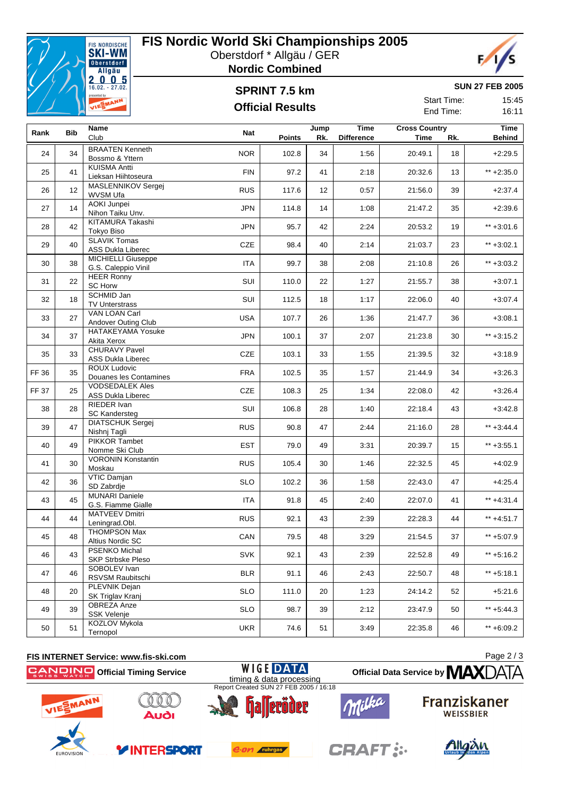

# **FIS Nordic World Ski Championships 2005**

Oberstdorf \* Allgäu / GER

**Nordic Combined**



**SUN 27 FEB 2005**

## **SPRINT 7.5 km Official Results**

Start Time: 15:45 End Time: 16:11

| Rank  | Bib             | Name                                               | Nat        |               | Jump | <b>Time</b>       | <b>Cross Country</b> |     | <b>Time</b>   |
|-------|-----------------|----------------------------------------------------|------------|---------------|------|-------------------|----------------------|-----|---------------|
|       |                 | Club                                               |            | <b>Points</b> | Rk.  | <b>Difference</b> | Time                 | Rk. | <b>Behind</b> |
| 24    | 34              | <b>BRAATEN Kenneth</b><br>Bossmo & Yttern          | <b>NOR</b> | 102.8         | 34   | 1:56              | 20:49.1              | 18  | $+2:29.5$     |
| 25    | 41              | <b>KUISMA Antti</b><br>Lieksan Hiihtoseura         | <b>FIN</b> | 97.2          | 41   | 2:18              | 20:32.6              | 13  | $** +2:35.0$  |
| 26    | 12 <sup>2</sup> | MASLENNIKOV Sergej<br>WVSM Ufa                     | <b>RUS</b> | 117.6         | 12   | 0:57              | 21:56.0              | 39  | $+2:37.4$     |
| 27    | 14              | AOKI Junpei<br>Nihon Taiku Unv.                    | JPN        | 114.8         | 14   | 1:08              | 21:47.2              | 35  | $+2:39.6$     |
| 28    | 42              | <b>KITAMURA Takashi</b><br><b>Tokyo Biso</b>       | JPN        | 95.7          | 42   | 2:24              | 20:53.2              | 19  | $** +3:01.6$  |
| 29    | 40              | <b>SLAVIK Tomas</b><br><b>ASS Dukla Liberec</b>    | CZE        | 98.4          | 40   | 2:14              | 21:03.7              | 23  | ** $+3:02.1$  |
| 30    | 38              | <b>MICHIELLI Giuseppe</b><br>G.S. Caleppio Vinil   | ITA        | 99.7          | 38   | 2:08              | 21:10.8              | 26  | ** $+3:03.2$  |
| 31    | 22              | <b>HEER Ronny</b><br>SC Horw                       | <b>SUI</b> | 110.0         | 22   | 1:27              | 21:55.7              | 38  | $+3:07.1$     |
| 32    | 18              | <b>SCHMID Jan</b><br><b>TV Unterstrass</b>         | SUI        | 112.5         | 18   | 1:17              | 22:06.0              | 40  | $+3:07.4$     |
| 33    | 27              | VAN LOAN Carl<br><b>Andover Outing Club</b>        | <b>USA</b> | 107.7         | 26   | 1:36              | 21:47.7              | 36  | $+3:08.1$     |
| 34    | 37              | <b>HATAKEYAMA Yosuke</b><br>Akita Xerox            | <b>JPN</b> | 100.1         | 37   | 2:07              | 21:23.8              | 30  | ** $+3:15.2$  |
| 35    | 33              | <b>CHURAVY Pavel</b><br><b>ASS Dukla Liberec</b>   | CZE        | 103.1         | 33   | 1:55              | 21:39.5              | 32  | $+3:18.9$     |
| FF 36 | 35              | <b>ROUX Ludovic</b><br>Douanes les Contamines      | FRA        | 102.5         | 35   | 1:57              | 21:44.9              | 34  | $+3:26.3$     |
| FF 37 | 25              | <b>VODSEDALEK Ales</b><br><b>ASS Dukla Liberec</b> | CZE        | 108.3         | 25   | 1:34              | 22:08.0              | 42  | $+3:26.4$     |
| 38    | 28              | <b>RIEDER Ivan</b><br><b>SC Kandersteg</b>         | SUI        | 106.8         | 28   | 1:40              | 22:18.4              | 43  | $+3:42.8$     |
| 39    | 47              | <b>DIATSCHUK Sergej</b><br>Nishnj Tagli            | <b>RUS</b> | 90.8          | 47   | 2:44              | 21:16.0              | 28  | ** $+3:44.4$  |
| 40    | 49              | <b>PIKKOR Tambet</b><br>Nomme Ski Club             | <b>EST</b> | 79.0          | 49   | 3:31              | 20:39.7              | 15  | $** +3:55.1$  |
| 41    | 30              | <b>VORONIN Konstantin</b><br>Moskau                | <b>RUS</b> | 105.4         | 30   | 1:46              | 22:32.5              | 45  | $+4:02.9$     |
| 42    | 36              | VTIC Damjan<br>SD Zabrdje                          | <b>SLO</b> | 102.2         | 36   | 1:58              | 22:43.0              | 47  | $+4:25.4$     |
| 43    | 45              | <b>MUNARI Daniele</b><br>G.S. Fiamme Gialle        | ITA        | 91.8          | 45   | 2:40              | 22:07.0              | 41  | ** $+4:31.4$  |
| 44    | 44              | MATVEEV Dmitri<br>Leningrad.Obl.                   | <b>RUS</b> | 92.1          | 43   | 2:39              | 22:28.3              | 44  | $** +4:51.7$  |
| 45    | 48              | <b>THOMPSON Max</b><br><b>Altius Nordic SC</b>     | CAN        | 79.5          | 48   | 3:29              | 21:54.5              | 37  | ** +5:07.9    |
| 46    | 43              | PSENKO Michal<br><b>SKP Strbske Pleso</b>          | <b>SVK</b> | 92.1          | 43   | 2:39              | 22:52.8              | 49  | ** +5:16.2    |
| 47    | 46              | SOBOLEV Ivan<br>RSVSM Raubitschi                   | <b>BLR</b> | 91.1          | 46   | 2:43              | 22:50.7              | 48  | ** $+5:18.1$  |
| 48    | 20              | PLEVNIK Dejan<br>SK Triglav Kranj                  | <b>SLO</b> | 111.0         | 20   | 1:23              | 24:14.2              | 52  | $+5:21.6$     |
| 49    | 39              | OBREZA Anze<br><b>SSK Velenje</b>                  | <b>SLO</b> | 98.7          | 39   | 2:12              | 23:47.9              | 50  | ** $+5:44.3$  |
| 50    | 51              | KOZLOV Mykola<br>Ternopol                          | <b>UKR</b> | 74.6          | 51   | 3:49              | 22:35.8              | 46  | ** +6:09.2    |
|       |                 |                                                    |            |               |      |                   |                      |     |               |